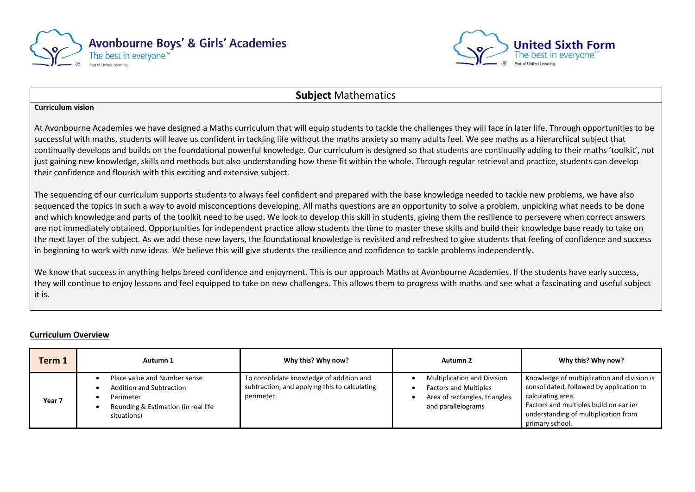



### **Subject** Mathematics

#### **Curriculum vision**

At Avonbourne Academies we have designed a Maths curriculum that will equip students to tackle the challenges they will face in later life. Through opportunities to be successful with maths, students will leave us confident in tackling life without the maths anxiety so many adults feel. We see maths as a hierarchical subject that continually develops and builds on the foundational powerful knowledge. Our curriculum is designed so that students are continually adding to their maths 'toolkit', not just gaining new knowledge, skills and methods but also understanding how these fit within the whole. Through regular retrieval and practice, students can develop their confidence and flourish with this exciting and extensive subject.

The sequencing of our curriculum supports students to always feel confident and prepared with the base knowledge needed to tackle new problems, we have also sequenced the topics in such a way to avoid misconceptions developing. All maths questions are an opportunity to solve a problem, unpicking what needs to be done and which knowledge and parts of the toolkit need to be used. We look to develop this skill in students, giving them the resilience to persevere when correct answers are not immediately obtained. Opportunities for independent practice allow students the time to master these skills and build their knowledge base ready to take on the next layer of the subject. As we add these new layers, the foundational knowledge is revisited and refreshed to give students that feeling of confidence and success in beginning to work with new ideas. We believe this will give students the resilience and confidence to tackle problems independently.

We know that success in anything helps breed confidence and enjoyment. This is our approach Maths at Avonbourne Academies. If the students have early success, they will continue to enjoy lessons and feel equipped to take on new challenges. This allows them to progress with maths and see what a fascinating and useful subject it is.

### **Curriculum Overview**

| Term 1            | Autumn 1                                                                                                                           | Why this? Why now?                                                                                      | Autumn 2                                                                                                                  | Why this? Why now?                                                                                                                                                                                                |
|-------------------|------------------------------------------------------------------------------------------------------------------------------------|---------------------------------------------------------------------------------------------------------|---------------------------------------------------------------------------------------------------------------------------|-------------------------------------------------------------------------------------------------------------------------------------------------------------------------------------------------------------------|
| Year <sub>7</sub> | Place value and Number sense<br><b>Addition and Subtraction</b><br>Perimeter<br>Rounding & Estimation (in real life<br>situations) | To consolidate knowledge of addition and<br>subtraction, and applying this to calculating<br>perimeter. | <b>Multiplication and Division</b><br><b>Factors and Multiples</b><br>Area of rectangles, triangles<br>and parallelograms | Knowledge of multiplication and division is<br>consolidated, followed by application to<br>calculating area.<br>Factors and multiples build on earlier<br>understanding of multiplication from<br>primary school. |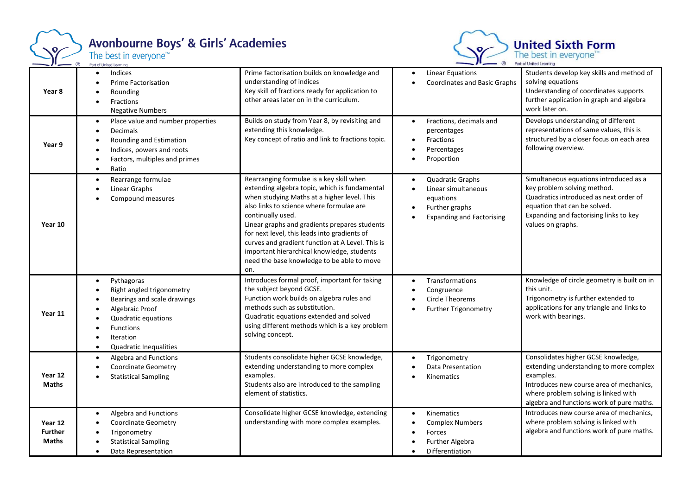

## Avonbourne Boys' & Girls' Academies<br>The best in everyone<sup>184</sup>



| Year 8                                    | Indices<br>Prime Factorisation<br>Rounding<br>Fractions<br><b>Negative Numbers</b>                                                                                                | Prime factorisation builds on knowledge and<br>understanding of indices<br>Key skill of fractions ready for application to<br>other areas later on in the curriculum.                                                                                                                                                                                                                                                                                             | Linear Equations<br>$\bullet$<br><b>Coordinates and Basic Graphs</b>                                                                                           | Students develop key skills and method of<br>solving equations<br>Understanding of coordinates supports<br>further application in graph and algebra<br>work later on.                                                        |
|-------------------------------------------|-----------------------------------------------------------------------------------------------------------------------------------------------------------------------------------|-------------------------------------------------------------------------------------------------------------------------------------------------------------------------------------------------------------------------------------------------------------------------------------------------------------------------------------------------------------------------------------------------------------------------------------------------------------------|----------------------------------------------------------------------------------------------------------------------------------------------------------------|------------------------------------------------------------------------------------------------------------------------------------------------------------------------------------------------------------------------------|
| Year 9                                    | Place value and number properties<br>Decimals<br>Rounding and Estimation<br>Indices, powers and roots<br>Factors, multiples and primes<br>Ratio                                   | Builds on study from Year 8, by revisiting and<br>extending this knowledge.<br>Key concept of ratio and link to fractions topic.                                                                                                                                                                                                                                                                                                                                  | Fractions, decimals and<br>$\bullet$<br>percentages<br>Fractions<br>$\bullet$<br>Percentages<br>$\bullet$<br>Proportion<br>$\bullet$                           | Develops understanding of different<br>representations of same values, this is<br>structured by a closer focus on each area<br>following overview.                                                                           |
| Year 10                                   | Rearrange formulae<br>$\bullet$<br>Linear Graphs<br>Compound measures                                                                                                             | Rearranging formulae is a key skill when<br>extending algebra topic, which is fundamental<br>when studying Maths at a higher level. This<br>also links to science where formulae are<br>continually used.<br>Linear graphs and gradients prepares students<br>for next level, this leads into gradients of<br>curves and gradient function at A Level. This is<br>important hierarchical knowledge, students<br>need the base knowledge to be able to move<br>on. | Quadratic Graphs<br>$\bullet$<br>Linear simultaneous<br>$\bullet$<br>equations<br>Further graphs<br>$\bullet$<br><b>Expanding and Factorising</b><br>$\bullet$ | Simultaneous equations introduced as a<br>key problem solving method.<br>Quadratics introduced as next order of<br>equation that can be solved.<br>Expanding and factorising links to key<br>values on graphs.               |
| Year 11                                   | Pythagoras<br>$\bullet$<br>Right angled trigonometry<br>Bearings and scale drawings<br>Algebraic Proof<br>Quadratic equations<br>Functions<br>Iteration<br>Quadratic Inequalities | Introduces formal proof, important for taking<br>the subject beyond GCSE.<br>Function work builds on algebra rules and<br>methods such as substitution.<br>Quadratic equations extended and solved<br>using different methods which is a key problem<br>solving concept.                                                                                                                                                                                          | Transformations<br>$\bullet$<br>Congruence<br>$\bullet$<br><b>Circle Theorems</b><br>Further Trigonometry<br>$\bullet$                                         | Knowledge of circle geometry is built on in<br>this unit.<br>Trigonometry is further extended to<br>applications for any triangle and links to<br>work with bearings.                                                        |
| Year 12<br><b>Maths</b>                   | Algebra and Functions<br><b>Coordinate Geometry</b><br><b>Statistical Sampling</b>                                                                                                | Students consolidate higher GCSE knowledge,<br>extending understanding to more complex<br>examples.<br>Students also are introduced to the sampling<br>element of statistics.                                                                                                                                                                                                                                                                                     | Trigonometry<br>Data Presentation<br>$\bullet$<br>Kinematics<br>$\bullet$                                                                                      | Consolidates higher GCSE knowledge,<br>extending understanding to more complex<br>examples.<br>Introduces new course area of mechanics,<br>where problem solving is linked with<br>algebra and functions work of pure maths. |
| Year 12<br><b>Further</b><br><b>Maths</b> | Algebra and Functions<br>Coordinate Geometry<br>Trigonometry<br><b>Statistical Sampling</b><br>Data Representation                                                                | Consolidate higher GCSE knowledge, extending<br>understanding with more complex examples.                                                                                                                                                                                                                                                                                                                                                                         | Kinematics<br>$\bullet$<br><b>Complex Numbers</b><br>$\bullet$<br>Forces<br>$\bullet$<br><b>Further Algebra</b><br>$\bullet$<br>Differentiation                | Introduces new course area of mechanics,<br>where problem solving is linked with<br>algebra and functions work of pure maths.                                                                                                |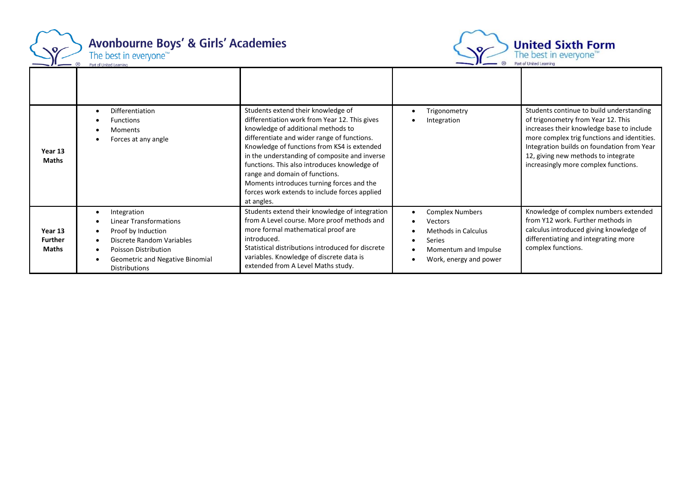

## **Avonbourne Boys' & Girls' Academies** The best in everyone<sup>™</sup>



Part of United Learning • Differentiation Students extend their knowledge of • Trigonometry Students continue to build understanding differentiation work from Year 12. This gives of trigonometry from Year 12. This **Functions** • Integration knowledge of additional methods to increases their knowledge base to include • Moments differentiate and wider range of functions. more complex trig functions and identities. • Forces at any angle Knowledge of functions from KS4 is extended Integration builds on foundation from Year **Year 13** in the understanding of composite and inverse 12, giving new methods to integrate **Maths** functions. This also introduces knowledge of increasingly more complex functions. range and domain of functions. Moments introduces turning forces and the forces work extends to include forces applied at angles. Students extend their knowledge of integration • Complex Numbers Knowledge of complex numbers extended • Integration from Y12 work. Further methods in from A Level course. More proof methods and • Linear Transformations • Vectors more formal mathematical proof are calculus introduced giving knowledge of **Year 13**  • Proof by Induction • Methods in Calculus **Further**  introduced. differentiating and integrating more • Discrete Random Variables • Series Statistical distributions introduced for discrete complex functions.**Maths** • Poisson Distribution • Momentum and Impulse variables. Knowledge of discrete data is • Geometric and Negative Binomial • Work, energy and power extended from A Level Maths study. Distributions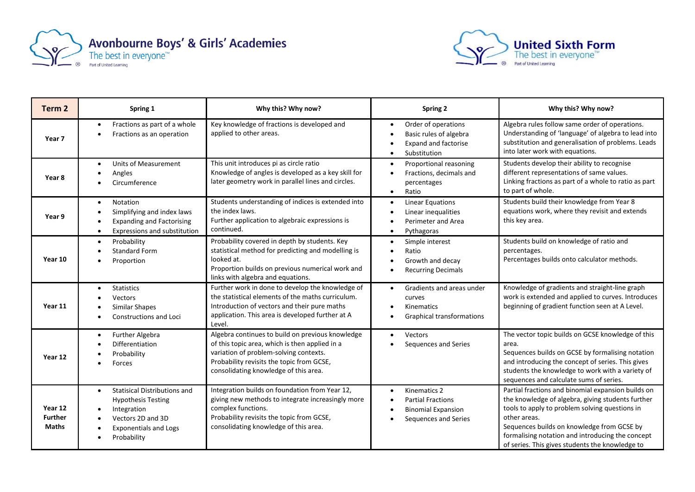



| Term 2                                    | Spring 1                                                                                                                                                         | Why this? Why now?                                                                                                                                                                                                                 | <b>Spring 2</b>                                                                                                  | Why this? Why now?                                                                                                                                                                                                                                                                                                             |
|-------------------------------------------|------------------------------------------------------------------------------------------------------------------------------------------------------------------|------------------------------------------------------------------------------------------------------------------------------------------------------------------------------------------------------------------------------------|------------------------------------------------------------------------------------------------------------------|--------------------------------------------------------------------------------------------------------------------------------------------------------------------------------------------------------------------------------------------------------------------------------------------------------------------------------|
| Year 7                                    | Fractions as part of a whole<br>$\bullet$<br>Fractions as an operation                                                                                           | Key knowledge of fractions is developed and<br>applied to other areas.                                                                                                                                                             | Order of operations<br>Basic rules of algebra<br><b>Expand and factorise</b><br>Substitution<br>$\bullet$        | Algebra rules follow same order of operations.<br>Understanding of 'language' of algebra to lead into<br>substitution and generalisation of problems. Leads<br>into later work with equations.                                                                                                                                 |
| Year 8                                    | <b>Units of Measurement</b><br>Angles<br>Circumference                                                                                                           | This unit introduces pi as circle ratio<br>Knowledge of angles is developed as a key skill for<br>later geometry work in parallel lines and circles.                                                                               | Proportional reasoning<br>$\bullet$<br>Fractions, decimals and<br>$\bullet$<br>percentages<br>Ratio<br>$\bullet$ | Students develop their ability to recognise<br>different representations of same values.<br>Linking fractions as part of a whole to ratio as part<br>to part of whole.                                                                                                                                                         |
| Year 9                                    | <b>Notation</b><br>Simplifying and index laws<br><b>Expanding and Factorising</b><br>Expressions and substitution                                                | Students understanding of indices is extended into<br>the index laws.<br>Further application to algebraic expressions is<br>continued.                                                                                             | <b>Linear Equations</b><br>$\bullet$<br>Linear inequalities<br>Perimeter and Area<br>Pythagoras                  | Students build their knowledge from Year 8<br>equations work, where they revisit and extends<br>this key area.                                                                                                                                                                                                                 |
| Year 10                                   | Probability<br>$\bullet$<br><b>Standard Form</b><br>Proportion                                                                                                   | Probability covered in depth by students. Key<br>statistical method for predicting and modelling is<br>looked at.<br>Proportion builds on previous numerical work and<br>links with algebra and equations.                         | Simple interest<br>Ratio<br>Growth and decay<br><b>Recurring Decimals</b>                                        | Students build on knowledge of ratio and<br>percentages.<br>Percentages builds onto calculator methods.                                                                                                                                                                                                                        |
| Year 11                                   | <b>Statistics</b><br>$\bullet$<br><b>Vectors</b><br>Similar Shapes<br><b>Constructions and Loci</b>                                                              | Further work in done to develop the knowledge of<br>the statistical elements of the maths curriculum.<br>Introduction of vectors and their pure maths<br>application. This area is developed further at A<br>Level.                | Gradients and areas under<br>curves<br><b>Kinematics</b><br><b>Graphical transformations</b>                     | Knowledge of gradients and straight-line graph<br>work is extended and applied to curves. Introduces<br>beginning of gradient function seen at A Level.                                                                                                                                                                        |
| Year 12                                   | <b>Further Algebra</b><br>$\bullet$<br>Differentiation<br>Probability<br>Forces                                                                                  | Algebra continues to build on previous knowledge<br>of this topic area, which is then applied in a<br>variation of problem-solving contexts.<br>Probability revisits the topic from GCSE,<br>consolidating knowledge of this area. | <b>Vectors</b><br>Sequences and Series                                                                           | The vector topic builds on GCSE knowledge of this<br>area.<br>Sequences builds on GCSE by formalising notation<br>and introducing the concept of series. This gives<br>students the knowledge to work with a variety of<br>sequences and calculate sums of series.                                                             |
| Year 12<br><b>Further</b><br><b>Maths</b> | <b>Statisical Distributions and</b><br>$\bullet$<br><b>Hypothesis Testing</b><br>Integration<br>Vectors 2D and 3D<br><b>Exponentials and Logs</b><br>Probability | Integration builds on foundation from Year 12,<br>giving new methods to integrate increasingly more<br>complex functions.<br>Probability revisits the topic from GCSE,<br>consolidating knowledge of this area.                    | Kinematics 2<br><b>Partial Fractions</b><br><b>Binomial Expansion</b><br>Sequences and Series                    | Partial fractions and binomial expansion builds on<br>the knowledge of algebra, giving students further<br>tools to apply to problem solving questions in<br>other areas.<br>Sequences builds on knowledge from GCSE by<br>formalising notation and introducing the concept<br>of series. This gives students the knowledge to |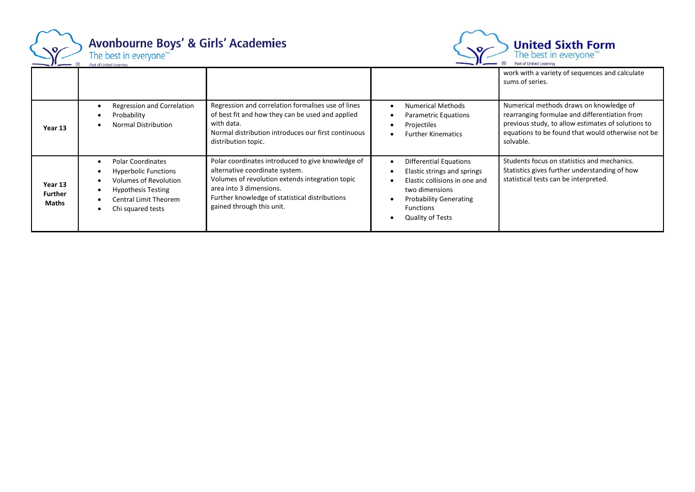

# Avonbourne Boys' & Girls' Academies<br>The best in everyone<sup>184</sup>



|                                           |                                                                                                                                                                    |                                                                                                                                                                                                                                                  |                                                                                                                                                                                                 | work with a variety of sequences and calculate<br>sums of series.                                                                                                                                                |
|-------------------------------------------|--------------------------------------------------------------------------------------------------------------------------------------------------------------------|--------------------------------------------------------------------------------------------------------------------------------------------------------------------------------------------------------------------------------------------------|-------------------------------------------------------------------------------------------------------------------------------------------------------------------------------------------------|------------------------------------------------------------------------------------------------------------------------------------------------------------------------------------------------------------------|
| Year 13                                   | Regression and Correlation<br>Probability<br>Normal Distribution                                                                                                   | Regression and correlation formalises use of lines<br>of best fit and how they can be used and applied<br>with data.<br>Normal distribution introduces our first continuous<br>distribution topic.                                               | <b>Numerical Methods</b><br><b>Parametric Equations</b><br>Projectiles<br><b>Further Kinematics</b>                                                                                             | Numerical methods draws on knowledge of<br>rearranging formulae and differentiation from<br>previous study, to allow estimates of solutions to<br>equations to be found that would otherwise not be<br>solvable. |
| Year 13<br><b>Further</b><br><b>Maths</b> | <b>Polar Coordinates</b><br><b>Hyperbolic Functions</b><br><b>Volumes of Revolution</b><br><b>Hypothesis Testing</b><br>Central Limit Theorem<br>Chi squared tests | Polar coordinates introduced to give knowledge of<br>alternative coordinate system.<br>Volumes of revolution extends integration topic<br>area into 3 dimensions.<br>Further knowledge of statistical distributions<br>gained through this unit. | <b>Differential Equations</b><br>Elastic strings and springs<br>Elastic collisions in one and<br>two dimensions<br><b>Probability Generating</b><br><b>Functions</b><br><b>Quality of Tests</b> | Students focus on statistics and mechanics.<br>Statistics gives further understanding of how<br>statistical tests can be interpreted.                                                                            |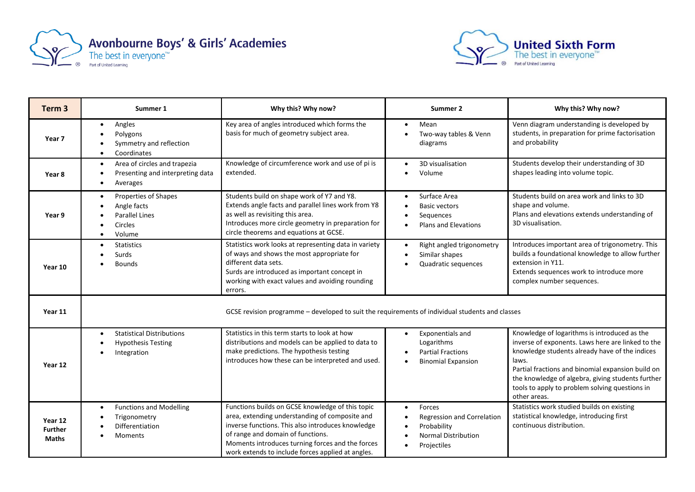



| Term <sub>3</sub>                         | Summer 1                                                                                                    | Why this? Why now?                                                                                                                                                                                                                                                                                    | Summer 2                                                                                                                          | Why this? Why now?                                                                                                                                                                                                                                                                                                                       |
|-------------------------------------------|-------------------------------------------------------------------------------------------------------------|-------------------------------------------------------------------------------------------------------------------------------------------------------------------------------------------------------------------------------------------------------------------------------------------------------|-----------------------------------------------------------------------------------------------------------------------------------|------------------------------------------------------------------------------------------------------------------------------------------------------------------------------------------------------------------------------------------------------------------------------------------------------------------------------------------|
| Year 7                                    | Angles<br>$\bullet$<br>Polygons<br>Symmetry and reflection<br>Coordinates                                   | Key area of angles introduced which forms the<br>basis for much of geometry subject area.                                                                                                                                                                                                             | Mean<br>$\bullet$<br>Two-way tables & Venn<br>diagrams                                                                            | Venn diagram understanding is developed by<br>students, in preparation for prime factorisation<br>and probability                                                                                                                                                                                                                        |
| Year 8                                    | Area of circles and trapezia<br>$\bullet$<br>Presenting and interpreting data<br>Averages                   | Knowledge of circumference work and use of pi is<br>extended.                                                                                                                                                                                                                                         | 3D visualisation<br>Volume                                                                                                        | Students develop their understanding of 3D<br>shapes leading into volume topic.                                                                                                                                                                                                                                                          |
| Year 9                                    | Properties of Shapes<br>$\bullet$<br>Angle facts<br><b>Parallel Lines</b><br>Circles<br>Volume<br>$\bullet$ | Students build on shape work of Y7 and Y8.<br>Extends angle facts and parallel lines work from Y8<br>as well as revisiting this area.<br>Introduces more circle geometry in preparation for<br>circle theorems and equations at GCSE.                                                                 | Surface Area<br>$\bullet$<br><b>Basic vectors</b><br>Sequences<br>Plans and Elevations                                            | Students build on area work and links to 3D<br>shape and volume.<br>Plans and elevations extends understanding of<br>3D visualisation.                                                                                                                                                                                                   |
| Year 10                                   | <b>Statistics</b><br>$\bullet$<br>Surds<br><b>Bounds</b>                                                    | Statistics work looks at representing data in variety<br>of ways and shows the most appropriate for<br>different data sets.<br>Surds are introduced as important concept in<br>working with exact values and avoiding rounding<br>errors.                                                             | Right angled trigonometry<br>$\bullet$<br>Similar shapes<br>Quadratic sequences                                                   | Introduces important area of trigonometry. This<br>builds a foundational knowledge to allow further<br>extension in Y11.<br>Extends sequences work to introduce more<br>complex number sequences.                                                                                                                                        |
| Year 11                                   | GCSE revision programme - developed to suit the requirements of individual students and classes             |                                                                                                                                                                                                                                                                                                       |                                                                                                                                   |                                                                                                                                                                                                                                                                                                                                          |
| Year 12                                   | <b>Statistical Distributions</b><br><b>Hypothesis Testing</b><br>Integration                                | Statistics in this term starts to look at how<br>distributions and models can be applied to data to<br>make predictions. The hypothesis testing<br>introduces how these can be interpreted and used.                                                                                                  | Exponentials and<br>$\bullet$<br>Logarithms<br><b>Partial Fractions</b><br><b>Binomial Expansion</b>                              | Knowledge of logarithms is introduced as the<br>inverse of exponents. Laws here are linked to the<br>knowledge students already have of the indices<br>laws.<br>Partial fractions and binomial expansion build on<br>the knowledge of algebra, giving students further<br>tools to apply to problem solving questions in<br>other areas. |
| Year 12<br><b>Further</b><br><b>Maths</b> | <b>Functions and Modelling</b><br>٠<br>Trigonometry<br>Differentiation<br><b>Moments</b>                    | Functions builds on GCSE knowledge of this topic<br>area, extending understanding of composite and<br>inverse functions. This also introduces knowledge<br>of range and domain of functions.<br>Moments introduces turning forces and the forces<br>work extends to include forces applied at angles. | Forces<br>$\bullet$<br><b>Regression and Correlation</b><br>Probability<br><b>Normal Distribution</b><br>Projectiles<br>$\bullet$ | Statistics work studied builds on existing<br>statistical knowledge, introducing first<br>continuous distribution.                                                                                                                                                                                                                       |